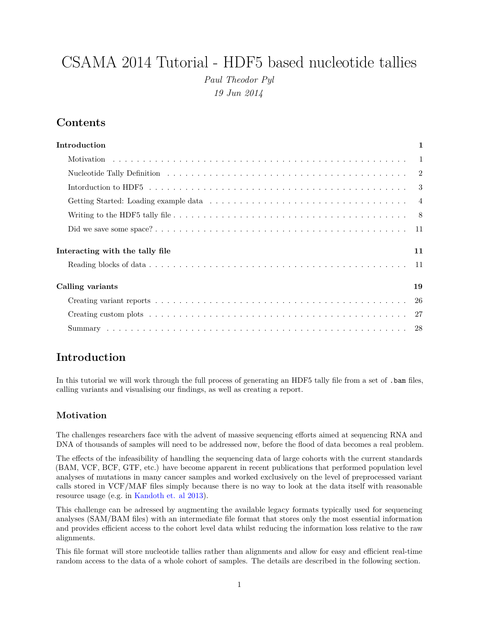# CSAMA 2014 Tutorial - HDF5 based nucleotide tallies *Paul Theodor Pyl 19 Jun 2014*

## **Contents**

| Introduction                          | $\mathbf 1$ |
|---------------------------------------|-------------|
|                                       |             |
|                                       |             |
|                                       |             |
|                                       |             |
|                                       |             |
|                                       |             |
| Interacting with the tally file<br>11 |             |
|                                       |             |
| Calling variants<br>19                |             |
|                                       |             |
|                                       |             |
|                                       |             |

## <span id="page-0-0"></span>**Introduction**

In this tutorial we will work through the full process of generating an HDF5 tally file from a set of . bam files, calling variants and visualising our findings, as well as creating a report.

## <span id="page-0-1"></span>**Motivation**

The challenges researchers face with the advent of massive sequencing efforts aimed at sequencing RNA and DNA of thousands of samples will need to be addressed now, before the flood of data becomes a real problem.

The effects of the infeasibility of handling the sequencing data of large cohorts with the current standards (BAM, VCF, BCF, GTF, etc.) have become apparent in recent publications that performed population level analyses of mutations in many cancer samples and worked exclusively on the level of preprocessed variant calls stored in VCF/MAF files simply because there is no way to look at the data itself with reasonable resource usage (e.g. in [Kandoth et. al 2013\)](http://www.nature.com/nature/journal/v502/n7471/full/nature12634.html).

This challenge can be adressed by augmenting the available legacy formats typically used for sequencing analyses (SAM/BAM files) with an intermediate file format that stores only the most essential information and provides efficient access to the cohort level data whilst reducing the information loss relative to the raw alignments.

This file format will store nucleotide tallies rather than alignments and allow for easy and efficient real-time random access to the data of a whole cohort of samples. The details are described in the following section.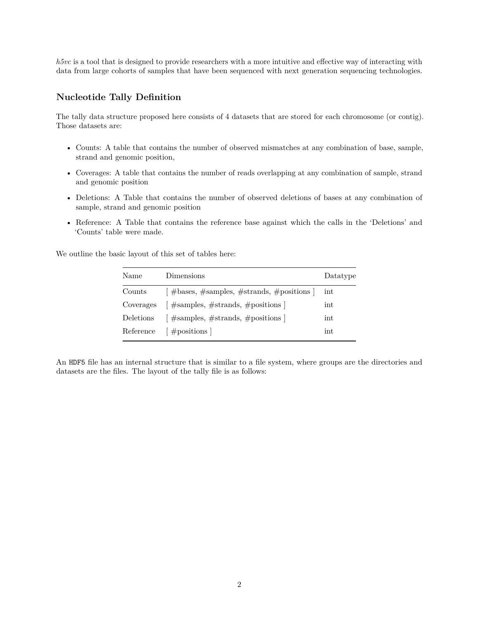*h5vc* is a tool that is designed to provide researchers with a more intuitive and effective way of interacting with data from large cohorts of samples that have been sequenced with next generation sequencing technologies.

#### <span id="page-1-0"></span>**Nucleotide Tally Definition**

The tally data structure proposed here consists of 4 datasets that are stored for each chromosome (or contig). Those datasets are:

- Counts: A table that contains the number of observed mismatches at any combination of base, sample, strand and genomic position,
- Coverages: A table that contains the number of reads overlapping at any combination of sample, strand and genomic position
- Deletions: A Table that contains the number of observed deletions of bases at any combination of sample, strand and genomic position
- Reference: A Table that contains the reference base against which the calls in the 'Deletions' and 'Counts' table were made.

We outline the basic layout of this set of tables here:

| Name      | Dimensions                                                             | Datatype |
|-----------|------------------------------------------------------------------------|----------|
| Counts    | $\left[\right]$ #bases, #samples, #strands, #positions $\left[\right]$ | int      |
| Coverages | $\left[\right]$ #samples, #strands, #positions $\left  \right $        | int      |
| Deletions | $\left[\right]$ #samples, #strands, #positions $\left  \right $        | int      |
| Reference | $\left[\right.$ # positions $\left.\right $                            | int      |

An HDF5 file has an internal structure that is similar to a file system, where groups are the directories and datasets are the files. The layout of the tally file is as follows: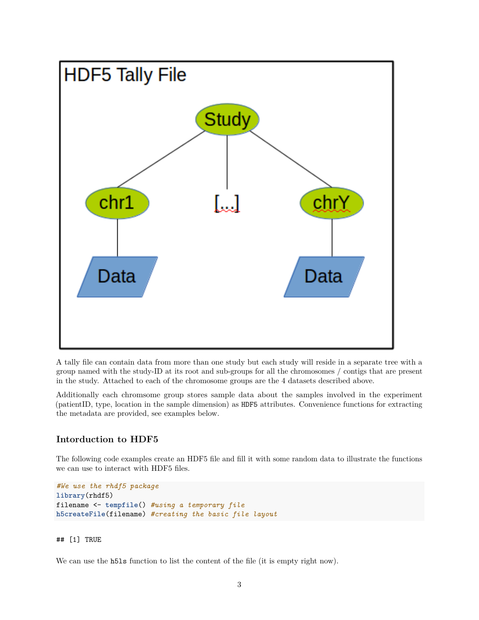

A tally file can contain data from more than one study but each study will reside in a separate tree with a group named with the study-ID at its root and sub-groups for all the chromosomes / contigs that are present in the study. Attached to each of the chromosome groups are the 4 datasets described above.

Additionally each chromsome group stores sample data about the samples involved in the experiment (patientID, type, location in the sample dimension) as HDF5 attributes. Convenience functions for extracting the metadata are provided, see examples below.

#### <span id="page-2-0"></span>**Intorduction to HDF5**

The following code examples create an HDF5 file and fill it with some random data to illustrate the functions we can use to interact with HDF5 files.

```
#We use the rhdf5 package
library(rhdf5)
filename <- tempfile() #using a temporary file
h5createFile(filename) #creating the basic file layout
```
#### ## [1] TRUE

We can use the h51s function to list the content of the file (it is empty right now).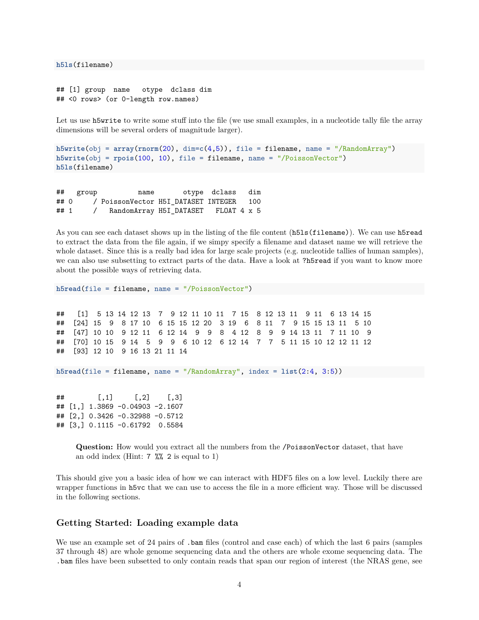**h5ls**(filename)

```
## [1] group name otype dclass dim
## <0 rows> (or 0-length row.names)
```
Let us use h5write to write some stuff into the file (we use small examples, in a nucleotide tally file the array dimensions will be several orders of magnitude larger).

```
h5write(obj = array(rnorm(20), dim=c(4,5)), file = filename, name = "/RandomArray")
h5write(obj = rpois(100, 10), file = filename, name = "/PoissonVector")
h5ls(filename)
```
## group name otype dclass dim ## 0 / PoissonVector H5I\_DATASET INTEGER 100 ## 1 / RandomArray H5I\_DATASET FLOAT 4 x 5

As you can see each dataset shows up in the listing of the file content (h5ls(filename)). We can use h5read to extract the data from the file again, if we simpy specify a filename and dataset name we will retrieve the whole dataset. Since this is a really bad idea for large scale projects (e.g. nucleotide tallies of human samples), we can also use subsetting to extract parts of the data. Have a look at ?h5read if you want to know more about the possible ways of retrieving data.

**h5read**(file = filename, name = "/PoissonVector")

## [1] 5 13 14 12 13 7 9 12 11 10 11 7 15 8 12 13 11 9 11 6 13 14 15 ## [24] 15 9 8 17 10 6 15 15 12 20 3 19 6 8 11 7 9 15 15 13 11 5 10 ## [47] 10 10 9 12 11 6 12 14 9 9 8 4 12 8 9 9 14 13 11 7 11 10 9 ## [70] 10 15 9 14 5 9 9 6 10 12 6 12 14 7 7 5 11 15 10 12 12 11 12 ## [93] 12 10 9 16 13 21 11 14

```
h5read(file = filename, name = "/RandomArray", index = list(2:4, 3:5))
```
 $\sharp$  # [,1] [,2] [,3] ## [1,] 1.3869 -0.04903 -2.1607 ## [2,] 0.3426 -0.32988 -0.5712 ## [3,] 0.1115 -0.61792 0.5584

> **Question:** How would you extract all the numbers from the /PoissonVector dataset, that have an odd index (Hint:  $7 \frac{\%}{2}$  is equal to 1)

This should give you a basic idea of how we can interact with HDF5 files on a low level. Luckily there are wrapper functions in h5vc that we can use to access the file in a more efficient way. Those will be discussed in the following sections.

#### <span id="page-3-0"></span>**Getting Started: Loading example data**

We use an example set of 24 pairs of .bam files (control and case each) of which the last 6 pairs (samples 37 through 48) are whole genome sequencing data and the others are whole exome sequencing data. The .bam files have been subsetted to only contain reads that span our region of interest (the NRAS gene, see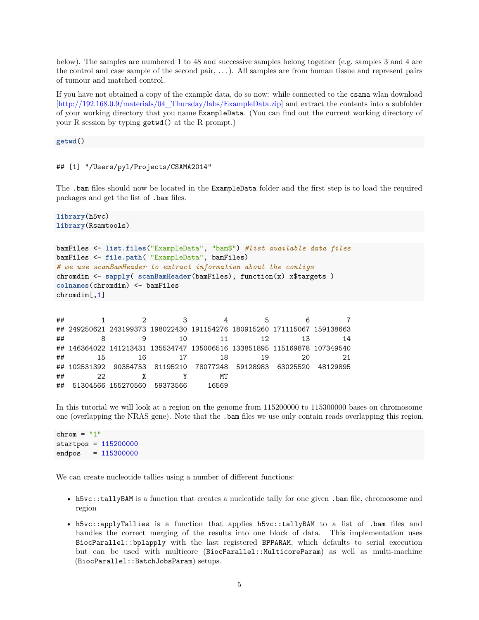below). The samples are numbered 1 to 48 and successive samples belong together (e.g. samples 3 and 4 are the control and case sample of the second pair, . . . ). All samples are from human tissue and represent pairs of tumour and matched control.

If you have not obtained a copy of the example data, do so now: while connected to the csama wlan download [\[http://192.168.0.9/materials/04\\_Thursday/labs/ExampleData.zip\]](http://192.168.0.9/materials/04_Thursday/labs/ExampleData.zip) and extract the contents into a subfolder of your working directory that you name ExampleData. (You can find out the current working directory of your R session by typing getwd() at the R prompt.)

**getwd**()

## [1] "/Users/pyl/Projects/CSAMA2014"

The .bam files should now be located in the ExampleData folder and the first step is to load the required packages and get the list of .bam files.

**library**(h5vc) **library**(Rsamtools)

```
bamFiles <- list.files("ExampleData", "bam$") #list available data files
bamFiles <- file.path( "ExampleData", bamFiles)
# we use scanBamHeader to extract information about the contigs
chromdim <- sapply( scanBamHeader(bamFiles), function(x) x$targets )
colnames(chromdim) <- bamFiles
chromdim[,1]
```
## 1 2 3 4 5 6 7 ## 249250621 243199373 198022430 191154276 180915260 171115067 159138663 ## 8 9 10 11 12 13 14 ## 146364022 141213431 135534747 135006516 133851895 115169878 107349540 ## 15 16 17 18 19 20 21 ## 102531392 90354753 81195210 78077248 59128983 63025520 48129895 ## 22 X Y MT ## 51304566 155270560 59373566 16569

In this tutorial we will look at a region on the genome from 115200000 to 115300000 bases on chromosome one (overlapping the NRAS gene). Note that the .bam files we use only contain reads overlapping this region.

```
chrom = "1"
startpos = 115200000
endpos = 115300000
```
We can create nucleotide tallies using a number of different functions:

- h5vc::tallyBAM is a function that creates a nucleotide tally for one given .bam file, chromosome and region
- h5vc::applyTallies is a function that applies h5vc::tallyBAM to a list of .bam files and handles the correct merging of the results into one block of data. This implementation uses BiocParallel::bplapply with the last registered BPPARAM, which defaults to serial execution but can be used with multicore (BiocParallel::MulticoreParam) as well as multi-machine (BiocParallel::BatchJobsParam) setups.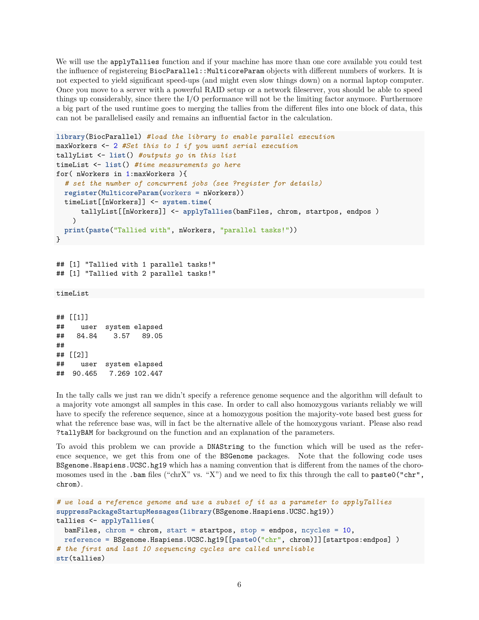We will use the applyTallies function and if your machine has more than one core available you could test the influence of registereing BiocParallel::MulticoreParam objects with different numbers of workers. It is not expected to yield significant speed-ups (and might even slow things down) on a normal laptop computer. Once you move to a server with a powerful RAID setup or a network fileserver, you should be able to speed things up considerably, since there the I/O performance will not be the limiting factor anymore. Furthermore a big part of the used runtime goes to merging the tallies from the different files into one block of data, this can not be parallelised easily and remains an influential factor in the calculation.

```
library(BiocParallel) #load the library to enable parallel execution
maxWorkers <- 2 #Set this to 1 if you want serial execution
tallyList <- list() #outputs go in this list
timeList <- list() #time measurements go here
for( nWorkers in 1:maxWorkers ){
  # set the number of concurrent jobs (see ?register for details)
 register(MulticoreParam(workers = nWorkers))
  timeList[[nWorkers]] <- system.time(
      tallyList[[nWorkers]] <- applyTallies(bamFiles, chrom, startpos, endpos )
   )
  print(paste("Tallied with", nWorkers, "parallel tasks!"))
}
```
## [1] "Tallied with 1 parallel tasks!" ## [1] "Tallied with 2 parallel tasks!"

```
timeList
```
## [[1]] ## user system elapsed ## 84.84 3.57 89.05 ## ## [[2]] ## user system elapsed ## 90.465 7.269 102.447

In the tally calls we just ran we didn't specify a reference genome sequence and the algorithm will default to a majority vote amongst all samples in this case. In order to call also homozygous variants reliably we will have to specify the reference sequence, since at a homozygous position the majority-vote based best guess for what the reference base was, will in fact be the alternative allele of the homozygous variant. Please also read ?tallyBAM for background on the function and an explanation of the parameters.

To avoid this problem we can provide a DNAString to the function which will be used as the reference sequence, we get this from one of the BSGenome packages. Note that the following code uses BSgenome.Hsapiens.UCSC.hg19 which has a naming convention that is different from the names of the choromosomes used in the .bam files ("chrX" vs. "X") and we need to fix this through the call to paste0("chr", chrom).

```
# we load a reference genome and use a subset of it as a parameter to applyTallies
suppressPackageStartupMessages(library(BSgenome.Hsapiens.UCSC.hg19))
tallies <- applyTallies(
 bamFiles, chrom = chrom, start = startpos, stop = endpos, ncycles = 10,
 reference = BSgenome.Hsapiens.UCSC.hg19[[paste0("chr", chrom)]][startpos:endpos] )
# the first and last 10 sequencing cycles are called unreliable
str(tallies)
```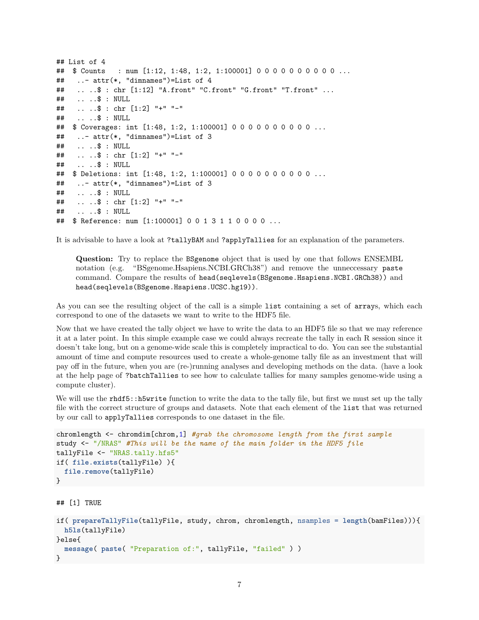```
## List of 4
## $ Counts : num [1:12, 1:48, 1:2, 1:100001] 0 0 0 0 0 0 0 0 0 0 ...
## ..- attr(*, "dimnames")=List of 4
## .. ..$ : chr [1:12] "A.front" "C.front" "G.front" "T.front" ...
## .. ..$ : NULL
## .. ..$ : chr [1:2] "+" "-"
## .. ..$ : NULL
## $ Coverages: int [1:48, 1:2, 1:100001] 0 0 0 0 0 0 0 0 0 0 ...
## ..- attr(*, "dimnames")=List of 3
## .. ..$ : NULL
## .. ..$ : chr [1:2] "+" "-"
## .. ..$ : NULL
## $ Deletions: int [1:48, 1:2, 1:100001] 0 0 0 0 0 0 0 0 0 0 ...
## ..- attr(*, "dimnames")=List of 3
## .. ..$ : NULL
## .. ..$ : chr [1:2] "+" "-"
## .. ..$ : NULL
## $ Reference: num [1:100001] 0 0 1 3 1 1 0 0 0 0 ...
```
It is advisable to have a look at ?tallyBAM and ?applyTallies for an explanation of the parameters.

**Question:** Try to replace the BSgenome object that is used by one that follows ENSEMBL notation (e.g. "BSgenome.Hsapiens.NCBI.GRCh38") and remove the unneccessary paste command. Compare the results of head(seqlevels(BSgenome.Hsapiens.NCBI.GRCh38)) and head(seqlevels(BSgenome.Hsapiens.UCSC.hg19)).

As you can see the resulting object of the call is a simple list containing a set of arrays, which each correspond to one of the datasets we want to write to the HDF5 file.

Now that we have created the tally object we have to write the data to an HDF5 file so that we may reference it at a later point. In this simple example case we could always recreate the tally in each R session since it doesn't take long, but on a genome-wide scale this is completely impractical to do. You can see the substantial amount of time and compute resources used to create a whole-genome tally file as an investment that will pay off in the future, when you are (re-)running analyses and developing methods on the data. (have a look at the help page of ?batchTallies to see how to calculate tallies for many samples genome-wide using a compute cluster).

We will use the rhdf5::h5write function to write the data to the tally file, but first we must set up the tally file with the correct structure of groups and datasets. Note that each element of the list that was returned by our call to applyTallies corresponds to one dataset in the file.

```
chromlength <- chromdim[chrom,1] #grab the chromosome length from the first sample
study <- "/NRAS" #This will be the name of the main folder in the HDF5 file
tallyFile <- "NRAS.tally.hfs5"
if( file.exists(tallyFile) ){
  file.remove(tallyFile)
}
## [1] TRUE
if( prepareTallyFile(tallyFile, study, chrom, chromlength, nsamples = length(bamFiles))){
 h5ls(tallyFile)
}else{
  message( paste( "Preparation of:", tallyFile, "failed" ) )
}
```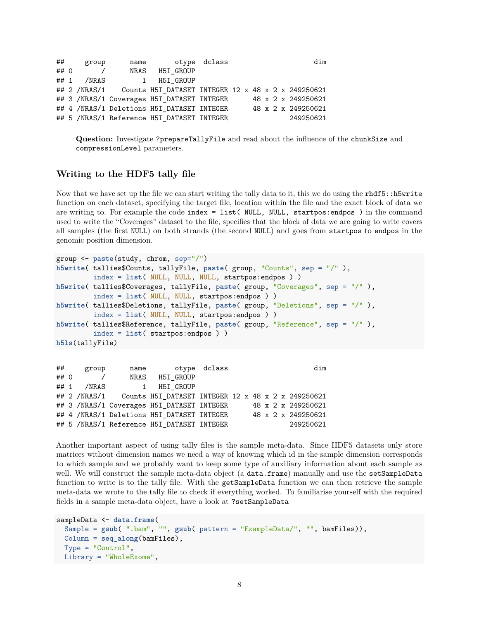| ##   | group |                  | name otype dclass                          |  |  |  | dim                |
|------|-------|------------------|--------------------------------------------|--|--|--|--------------------|
| ## 0 |       |                  | NRAS H5I GROUP                             |  |  |  |                    |
|      |       | $\#$ # 1 /NRAS 1 | H5I GROUP                                  |  |  |  |                    |
|      |       |                  |                                            |  |  |  |                    |
|      |       |                  | ## 3 /NRAS/1 Coverages H5I_DATASET INTEGER |  |  |  | 48 x 2 x 249250621 |
|      |       |                  | ## 4 /NRAS/1 Deletions H5I DATASET INTEGER |  |  |  | 48 x 2 x 249250621 |
|      |       |                  | ## 5 /NRAS/1 Reference H5I_DATASET INTEGER |  |  |  | 249250621          |

**Question:** Investigate ?prepareTallyFile and read about the influence of the chunkSize and compressionLevel parameters.

#### <span id="page-7-0"></span>**Writing to the HDF5 tally file**

Now that we have set up the file we can start writing the tally data to it, this we do using the rhdf5::h5write function on each dataset, specifying the target file, location within the file and the exact block of data we are writing to. For example the code index = list( NULL, NULL, startpos:endpos ) in the command used to write the "Coverages" dataset to the file, specifies that the block of data we are going to write covers all samples (the first NULL) on both strands (the second NULL) and goes from startpos to endpos in the genomic position dimension.

```
group <- paste(study, chrom, sep="/")
h5write( tallies$Counts, tallyFile, paste( group, "Counts", sep = "/" ),
         index = list( NULL, NULL, NULL, startpos:endpos ) )
h5write( tallies$Coverages, tallyFile, paste( group, "Coverages", sep = "/" ),
         index = list( NULL, NULL, startpos:endpos ) )
h5write( tallies$Deletions, tallyFile, paste( group, "Deletions", sep = "/" ),
         index = list( NULL, NULL, startpos:endpos ) )
h5write( tallies$Reference, tallyFile, paste( group, "Reference", sep = "/" ),
         index = list( startpos:endpos ) )
h5ls(tallyFile)
```

| ##   | group |                  | name otype dclass                          |  |  | dim |                    |
|------|-------|------------------|--------------------------------------------|--|--|-----|--------------------|
| ## 0 |       |                  | NRAS H5I GROUP                             |  |  |     |                    |
|      |       | $\#$ # 1 /NRAS 1 | H5I GROUP                                  |  |  |     |                    |
|      |       |                  |                                            |  |  |     |                    |
|      |       |                  | ## 3 /NRAS/1 Coverages H5I_DATASET INTEGER |  |  |     | 48 x 2 x 249250621 |
|      |       |                  | ## 4 /NRAS/1 Deletions H5I DATASET INTEGER |  |  |     | 48 x 2 x 249250621 |
|      |       |                  | ## 5 /NRAS/1 Reference H5I_DATASET INTEGER |  |  |     | 249250621          |

Another important aspect of using tally files is the sample meta-data. Since HDF5 datasets only store matrices without dimension names we need a way of knowing which id in the sample dimension corresponds to which sample and we probably want to keep some type of auxiliary information about each sample as well. We will construct the sample meta-data object (a data.frame) manually and use the setSampleData function to write is to the tally file. With the getSampleData function we can then retrieve the sample meta-data we wrote to the tally file to check if everything worked. To familiarise yourself with the required fields in a sample meta-data object, have a look at ?setSampleData

```
sampleData <- data.frame(
  Sample = gsub( ".bam", "", gsub( pattern = "ExampleData/", "", bamFiles)),
  Column = seq_along(bamFiles),
  Type = "Control",
  Library = "WholeExome",
```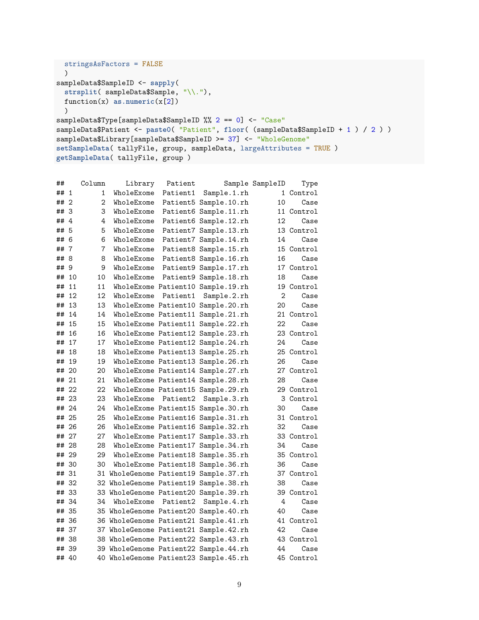```
stringsAsFactors = FALSE
 )
sampleData$SampleID <- sapply(
  strsplit( sampleData$Sample, "\\."),
  function(x) as.numeric(x[2])
  \lambdasampleData$Type[sampleData$SampleID %% 2 == 0] <- "Case"
sampleData$Patient <- paste0( "Patient", floor( (sampleData$SampleID + 1 ) / 2 ) )
sampleData$Library[sampleData$SampleID >= 37] <- "WholeGenome"
setSampleData( tallyFile, group, sampleData, largeAttributes = TRUE )
getSampleData( tallyFile, group )
```

| ##    |     | Column | Library    | Patient  |                                       | Sample SampleID | Type       |
|-------|-----|--------|------------|----------|---------------------------------------|-----------------|------------|
| ## 1  |     | 1      | WholeExome | Patient1 | Sample.1.rh                           |                 | 1 Control  |
| ## 2  |     | 2      | WholeExome |          | Patient5 Sample.10.rh                 | 10              | Case       |
| ##    | 3   | 3      | WholeExome |          | Patient6 Sample.11.rh                 |                 | 11 Control |
| ##    | 4   | 4      | WholeExome |          | Patient6 Sample.12.rh                 | 12              | Case       |
| ##    | 5   | 5      | WholeExome |          | Patient7 Sample.13.rh                 |                 | 13 Control |
| ##    | 6   | 6      | WholeExome |          | Patient7 Sample.14.rh                 | 14              | Case       |
| ##    | 7   | 7      | WholeExome |          | Patient8 Sample.15.rh                 |                 | 15 Control |
| ##    | 8   | 8      | WholeExome |          | Patient8 Sample.16.rh                 | 16              | Case       |
| ##    | - 9 | 9      | WholeExome |          | Patient9 Sample.17.rh                 |                 | 17 Control |
| ##    | 10  | 10     | WholeExome |          | Patient9 Sample.18.rh                 | 18              | Case       |
| ##    | 11  | 11     |            |          | WholeExome Patient10 Sample.19.rh     |                 | 19 Control |
| ##    | 12  | 12     | WholeExome | Patient1 | Sample.2.rh                           | $\overline{2}$  | Case       |
| ##    | 13  | 13     |            |          | WholeExome Patient10 Sample.20.rh     | 20              | Case       |
| ##    | 14  | 14     |            |          | WholeExome Patient11 Sample.21.rh     |                 | 21 Control |
| ##    | 15  | 15     |            |          | WholeExome Patient11 Sample.22.rh     | 22              | Case       |
| ##    | 16  | 16     |            |          | WholeExome Patient12 Sample.23.rh     |                 | 23 Control |
| ##    | 17  | 17     |            |          | WholeExome Patient12 Sample.24.rh     | 24              | Case       |
| ##    | 18  | 18     |            |          | WholeExome Patient13 Sample.25.rh     |                 | 25 Control |
| ##    | 19  | 19     |            |          | WholeExome Patient13 Sample.26.rh     | 26              | Case       |
| ##    | -20 | 20     |            |          | WholeExome Patient14 Sample.27.rh     |                 | 27 Control |
| ## 21 |     | 21     |            |          | WholeExome Patient14 Sample.28.rh     | 28              | Case       |
| ## 22 |     | 22     |            |          | WholeExome Patient15 Sample.29.rh     |                 | 29 Control |
| ## 23 |     | 23     | WholeExome | Patient2 | Sample.3.rh                           |                 | 3 Control  |
| ## 24 |     | 24     |            |          | WholeExome Patient15 Sample.30.rh     | 30              | Case       |
| ##    | 25  | 25     |            |          | WholeExome Patient16 Sample.31.rh     |                 | 31 Control |
| ##    | 26  | 26     |            |          | WholeExome Patient16 Sample.32.rh     | 32              | Case       |
| ##    | 27  | 27     |            |          | WholeExome Patient17 Sample.33.rh     |                 | 33 Control |
| ##    | 28  | 28     |            |          | WholeExome Patient17 Sample.34.rh     | 34              | Case       |
| ##    | 29  | 29     |            |          | WholeExome Patient18 Sample.35.rh     |                 | 35 Control |
| ##    | 30  | 30     |            |          | WholeExome Patient18 Sample.36.rh     | 36              | Case       |
| ##    | 31  |        |            |          | 31 WholeGenome Patient19 Sample.37.rh |                 | 37 Control |
| ##    | 32  |        |            |          | 32 WholeGenome Patient19 Sample.38.rh | 38              | Case       |
| ##    | -33 |        |            |          | 33 WholeGenome Patient20 Sample.39.rh |                 | 39 Control |
| ## 34 |     | 34     | WholeExome | Patient2 | Sample.4.rh                           | 4               | Case       |
| ##    | 35  |        |            |          | 35 WholeGenome Patient20 Sample.40.rh | 40              | Case       |
| ##    | -36 |        |            |          | 36 WholeGenome Patient21 Sample.41.rh |                 | 41 Control |
| ##    | 37  |        |            |          | 37 WholeGenome Patient21 Sample.42.rh | 42              | Case       |
| ##    | 38  |        |            |          | 38 WholeGenome Patient22 Sample.43.rh |                 | 43 Control |
| ##    | 39  |        |            |          | 39 WholeGenome Patient22 Sample.44.rh | 44              | Case       |
| ## 40 |     |        |            |          | 40 WholeGenome Patient23 Sample.45.rh |                 | 45 Control |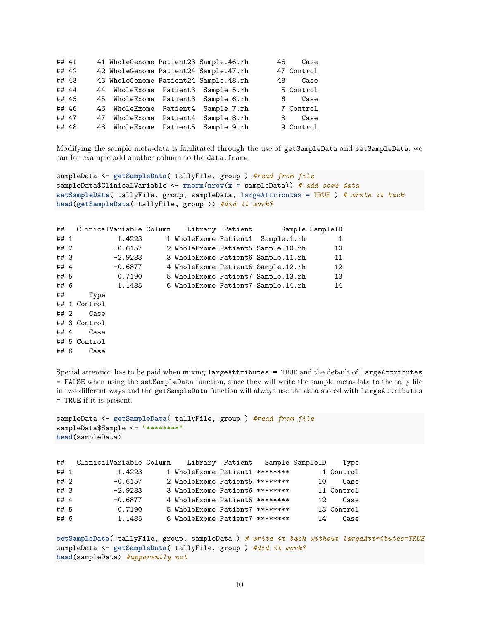| ## 41 |    |                        | 41 WholeGenome Patient23 Sample.46.rh | 46  | Case       |
|-------|----|------------------------|---------------------------------------|-----|------------|
| ## 42 |    |                        | 42 WholeGenome Patient24 Sample.47.rh |     | 47 Control |
| ## 43 |    |                        | 43 WholeGenome Patient24 Sample.48.rh | 48. | Case       |
| ## 44 |    |                        | 44 WholeExome Patient3 Sample.5.rh    |     | 5 Control  |
| ## 45 |    |                        | 45 WholeExome Patient3 Sample.6.rh    | 6   | Case       |
| ## 46 |    | 46 WholeExome Patient4 | Sample.7.rh                           |     | 7 Control  |
| ## 47 | 47 | WholeExome Patient4    | Sample.8.rh                           | 8   | Case       |
| ## 48 |    |                        | 48 WholeExome Patient5 Sample.9.rh    |     | 9 Control  |

Modifying the sample meta-data is facilitated through the use of getSampleData and setSampleData, we can for example add another column to the data.frame.

```
sampleData <- getSampleData( tallyFile, group ) #read from file
sampleData$ClinicalVariable <- rnorm(nrow(x = sampleData)) # add some data
setSampleData( tallyFile, group, sampleData, largeAttributes = TRUE ) # write it back
head(getSampleData( tallyFile, group )) #did it work?
```

| ##     | ClinicalVariable Column |           |  | Library Patient |                                    | Sample SampleID |
|--------|-------------------------|-----------|--|-----------------|------------------------------------|-----------------|
| ## 1   |                         | 1.4223    |  |                 | 1 WholeExome Patient1 Sample.1.rh  |                 |
| ## 2   |                         | $-0.6157$ |  |                 | 2 WholeExome Patient5 Sample.10.rh | 10              |
| ## 3   |                         | -2.9283   |  |                 | 3 WholeExome Patient6 Sample.11.rh | 11              |
| ## $4$ |                         | -0.6877   |  |                 | 4 WholeExome Patient6 Sample.12.rh | 12              |
| ## 5   |                         | 0.7190    |  |                 | 5 WholeExome Patient7 Sample.13.rh | 13              |
| ## 6   |                         | 1.1485    |  |                 | 6 WholeExome Patient7 Sample.14.rh | 14              |
| ##     | Type                    |           |  |                 |                                    |                 |
|        | ## 1 Control            |           |  |                 |                                    |                 |
| ## 2   | Case                    |           |  |                 |                                    |                 |
|        | ## 3 Control            |           |  |                 |                                    |                 |
| ## 4   | Case                    |           |  |                 |                                    |                 |
|        | ## 5 Control            |           |  |                 |                                    |                 |
| ## 6   | Case                    |           |  |                 |                                    |                 |

Special attention has to be paid when mixing largeAttributes = TRUE and the default of largeAttributes = FALSE when using the setSampleData function, since they will write the sample meta-data to the tally file in two different ways and the getSampleData function will always use the data stored with largeAttributes = TRUE if it is present.

```
sampleData <- getSampleData( tallyFile, group ) #read from file
sampleData$Sample <- "*********"
head(sampleData)
```

| ##     | ClinicalVariable Column Library Patient Sample SampleID |                                |  |     | Type       |
|--------|---------------------------------------------------------|--------------------------------|--|-----|------------|
| ## 1   | 1.4223                                                  | 1 WholeExome Patient1 ******** |  |     | 1 Control  |
| ## 2   | $-0.6157$                                               | 2 WholeExome Patient5 ******** |  | 10  | Case       |
| ##3    | $-2.9283$                                               | 3 WholeExome Patient6 ******** |  |     | 11 Control |
| ## $4$ | $-0.6877$                                               | 4 WholeExome Patient6 ******** |  | 12. | Case       |
| ## 5   | 0.7190                                                  | 5 WholeExome Patient7 ******** |  |     | 13 Control |
| ## 6   | 1.1485                                                  | 6 WholeExome Patient7 ******** |  | 14  | Case       |

**setSampleData**( tallyFile, group, sampleData ) *# write it back without largeAttributes=TRUE* sampleData <- **getSampleData**( tallyFile, group ) *#did it work?* **head**(sampleData) *#apparently not*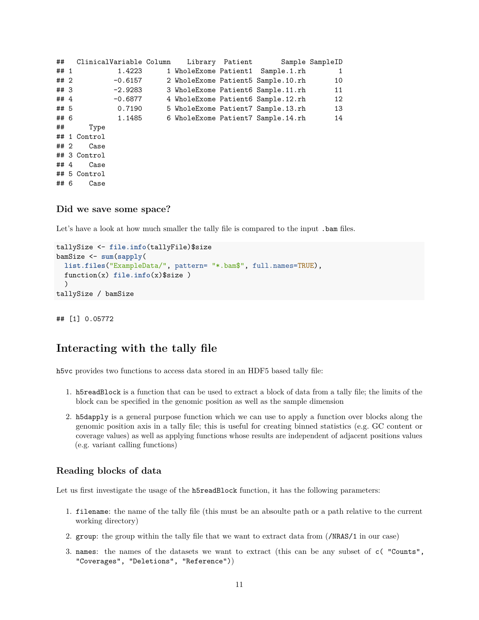```
## ClinicalVariable Column Library Patient Sample SampleID
## 1 1.4223 1 WholeExome Patient1 Sample.1.rh 1
## 2 -0.6157 2 WholeExome Patient5 Sample.10.rh 10
## 3 -2.9283 3 WholeExome Patient6 Sample.11.rh 11
## 4 -0.6877 4 WholeExome Patient6 Sample.12.rh 12
## 5 0.7190 5 WholeExome Patient7 Sample.13.rh 13
## 6 1.1485 6 WholeExome Patient7 Sample.14.rh 14
## Type
## 1 Control
## 2 Case
## 3 Control
## 4 Case
## 5 Control
## 6 Case
```
#### <span id="page-10-0"></span>**Did we save some space?**

Let's have a look at how much smaller the tally file is compared to the input .bam files.

```
tallySize <- file.info(tallyFile)$size
bamSize <- sum(sapply(
 list.files("ExampleData/", pattern= "*.bam$", full.names=TRUE),
  function(x) file.info(x)$size )
  )
tallySize / bamSize
```
## [1] 0.05772

### <span id="page-10-1"></span>**Interacting with the tally file**

h5vc provides two functions to access data stored in an HDF5 based tally file:

- 1. h5readBlock is a function that can be used to extract a block of data from a tally file; the limits of the block can be specified in the genomic position as well as the sample dimension
- 2. h5dapply is a general purpose function which we can use to apply a function over blocks along the genomic position axis in a tally file; this is useful for creating binned statistics (e.g. GC content or coverage values) as well as applying functions whose results are independent of adjacent positions values (e.g. variant calling functions)

#### <span id="page-10-2"></span>**Reading blocks of data**

Let us first investigate the usage of the h5readBlock function, it has the following parameters:

- 1. filename: the name of the tally file (this must be an absoulte path or a path relative to the current working directory)
- 2. group: the group within the tally file that we want to extract data from (/NRAS/1 in our case)
- 3. names: the names of the datasets we want to extract (this can be any subset of c( "Counts", "Coverages", "Deletions", "Reference"))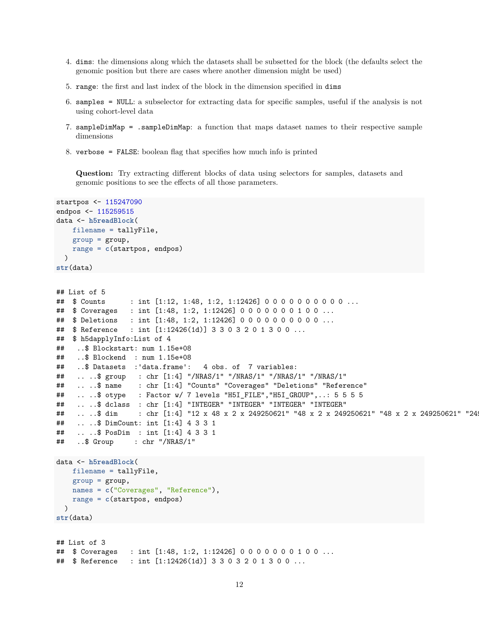- 4. dims: the dimensions along which the datasets shall be subsetted for the block (the defaults select the genomic position but there are cases where another dimension might be used)
- 5. range: the first and last index of the block in the dimension specified in dims
- 6. samples = NULL: a subselector for extracting data for specific samples, useful if the analysis is not using cohort-level data
- 7. sampleDimMap = .sampleDimMap: a function that maps dataset names to their respective sample dimensions
- 8. verbose = FALSE: boolean flag that specifies how much info is printed

**Question:** Try extracting different blocks of data using selectors for samples, datasets and genomic positions to see the effects of all those parameters.

```
startpos <- 115247090
endpos <- 115259515
data <- h5readBlock(
    filename = tallyFile,
    group = group,range = c(startpos, endpos)
  )
str(data)
```

```
## List of 5
## $ Counts : int [1:12, 1:48, 1:2, 1:12426] 0 0 0 0 0 0 0 0 0 0 ...
## $ Coverages : int [1:48, 1:2, 1:12426] 0 0 0 0 0 0 0 1 0 0 ...
## $ Deletions : int [1:48, 1:2, 1:12426] 0 0 0 0 0 0 0 0 0 0 ...
## $ Reference : int [1:12426(1d)] 3 3 0 3 2 0 1 3 0 0 ...
## $ h5dapplyInfo:List of 4
## ..$ Blockstart: num 1.15e+08
## ..$ Blockend : num 1.15e+08
## ..$ Datasets :'data.frame': 4 obs. of 7 variables:
## .. ..$ group : chr [1:4] "/NRAS/1" "/NRAS/1" "/NRAS/1" "/NRAS/1"
## .. ..$ name : chr [1:4] "Counts" "Coverages" "Deletions" "Reference"
## .. ..$ otype : Factor w/ 7 levels "H5I_FILE","H5I_GROUP",..: 5 5 5 5
## .. ..$ dclass : chr [1:4] "INTEGER" "INTEGER" "INTEGER" "INTEGER"
## .. ..$ dim : chr [1:4] "12 x 48 x 2 x 249250621" "48 x 2 x 249250621" "48 x 2 x 249250621" "249250621"
## .. ..$ DimCount: int [1:4] 4 3 3 1
## .. ..$ PosDim : int [1:4] 4 3 3 1
## ..$ Group : chr "/NRAS/1"
data <- h5readBlock(
   filename = tallyFile,
   group = group,names = c("Coverages", "Reference"),
   range = c(startpos, endpos)
 )
str(data)
```

```
## List of 3
## $ Coverages : int [1:48, 1:2, 1:12426] 0 0 0 0 0 0 0 1 0 0 ...
## $ Reference : int [1:12426(1d)] 3 3 0 3 2 0 1 3 0 0 ...
```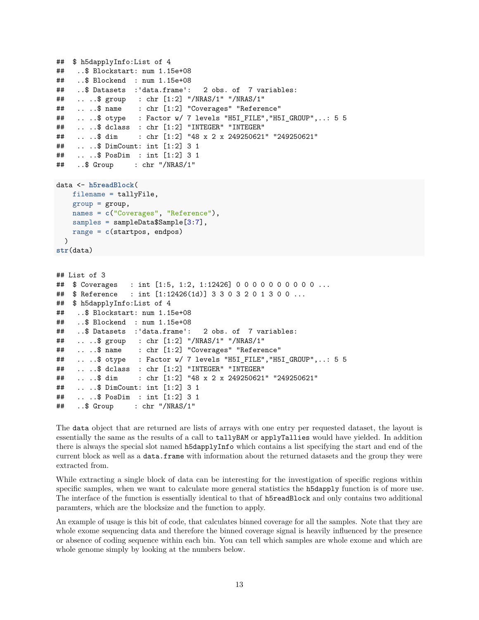```
## $ h5dapplyInfo:List of 4
## ..$ Blockstart: num 1.15e+08
## ..$ Blockend : num 1.15e+08
## ..$ Datasets :'data.frame': 2 obs. of 7 variables:
## .. ..$ group : chr [1:2] "/NRAS/1" "/NRAS/1"
## .. ..$ name : chr [1:2] "Coverages" "Reference"
## ....$ otype : Factor w/ 7 levels "H5I FILE", "H5I GROUP",..: 5 5
## .. ..$ dclass : chr [1:2] "INTEGER" "INTEGER"
## .. ..$ dim : chr [1:2] "48 x 2 x 249250621" "249250621"
## .. ..$ DimCount: int [1:2] 3 1
## .. ..$ PosDim : int [1:2] 3 1
## ..$ Group : chr "/NRAS/1"
data <- h5readBlock(
   filename = tallyFile,
   group = group,names = c("Coverages", "Reference"),
   samples = sampleData$Sample[3:7],
   range = c(startpos, endpos)
 )
str(data)
## List of 3
## $ Coverages : int [1:5, 1:2, 1:12426] 0 0 0 0 0 0 0 0 0 0 ...
## $ Reference : int [1:12426(1d)] 3 3 0 3 2 0 1 3 0 0 ...
## $ h5dapplyInfo:List of 4
## ..$ Blockstart: num 1.15e+08
## ..$ Blockend : num 1.15e+08
## ..$ Datasets :'data.frame': 2 obs. of 7 variables:
## .. ..$ group : chr [1:2] "/NRAS/1" "/NRAS/1"
## .. ..$ name : chr [1:2] "Coverages" "Reference"
## ....$ otype : Factor w/ 7 levels "H5I FILE","H5I GROUP",..: 5 5
## .. ..$ dclass : chr [1:2] "INTEGER" "INTEGER"
## .. ..$ dim : chr [1:2] "48 x 2 x 249250621" "249250621"
## .. ..$ DimCount: int [1:2] 3 1
## .. ..$ PosDim : int [1:2] 3 1
## ..$ Group : chr "/NRAS/1"
```
The data object that are returned are lists of arrays with one entry per requested dataset, the layout is essentially the same as the results of a call to tallyBAM or applyTallies would have yielded. In addition there is always the special slot named h5dapplyInfo which contains a list specifying the start and end of the current block as well as a data.frame with information about the returned datasets and the group they were extracted from.

While extracting a single block of data can be interesting for the investigation of specific regions within specific samples, when we want to calculate more general statistics the h5dapply function is of more use. The interface of the function is essentially identical to that of h5readBlock and only contains two additional paramters, which are the blocksize and the function to apply.

An example of usage is this bit of code, that calculates binned coverage for all the samples. Note that they are whole exome sequencing data and therefore the binned coverage signal is heavily influenced by the presence or absence of coding sequence within each bin. You can tell which samples are whole exome and which are whole genome simply by looking at the numbers below.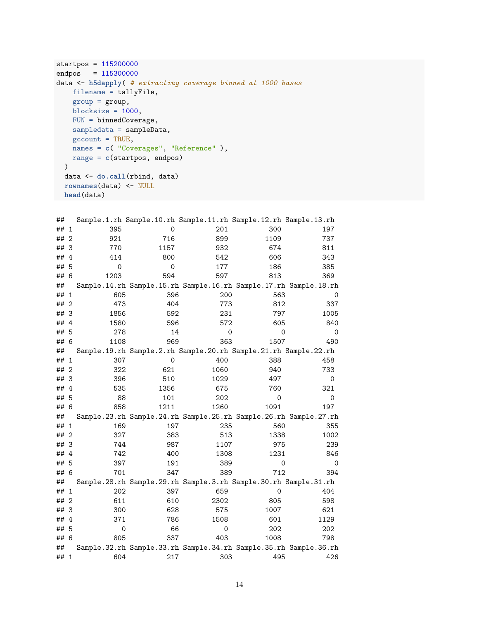```
startpos = 115200000
endpos = 115300000
data <- h5dapply( # extracting coverage binned at 1000 bases
   filename = tallyFile,
   group = group,
   blocksize = 1000,
   FUN = binnedCoverage,
   sampledata = sampleData,
   \text{gccount} = \text{TRUE},
   names = c( "Coverages", "Reference" ),
   range = c(startpos, endpos)
  \sum_{i=1}^{n}data <- do.call(rbind, data)
 rownames(data) <- NULL
 head(data)
```

| ## |              |      |      | Sample.1.rh Sample.10.rh Sample.11.rh Sample.12.rh Sample.13.rh  |      |      |
|----|--------------|------|------|------------------------------------------------------------------|------|------|
| ## | 1            | 395  | 0    | 201                                                              | 300  | 197  |
| ## | $\mathbf{2}$ | 921  | 716  | 899                                                              | 1109 | 737  |
| ## | 3            | 770  | 1157 | 932                                                              | 674  | 811  |
| ## | 4            | 414  | 800  | 542                                                              | 606  | 343  |
| ## | 5            | 0    | 0    | 177                                                              | 186  | 385  |
| ## | 6            | 1203 | 594  | 597                                                              | 813  | 369  |
| ## |              |      |      | Sample.14.rh Sample.15.rh Sample.16.rh Sample.17.rh Sample.18.rh |      |      |
| ## | 1            | 605  | 396  | 200                                                              | 563  |      |
| ## | 2            | 473  | 404  | 773                                                              | 812  | 337  |
| ## | - 3          | 1856 | 592  | 231                                                              | 797  | 1005 |
| ## | 4            | 1580 | 596  | 572                                                              | 605  | 840  |
| ## | 5            | 278  | 14   | 0                                                                | 0    | 0    |
| ## | 6            | 1108 | 969  | 363                                                              | 1507 | 490  |
| ## |              |      |      | Sample.19.rh Sample.2.rh Sample.20.rh Sample.21.rh Sample.22.rh  |      |      |
| ## | 1            | 307  | 0    | 400                                                              | 388  | 458  |
| ## | 2            | 322  | 621  | 1060                                                             | 940  | 733  |
| ## | 3            | 396  | 510  | 1029                                                             | 497  | 0    |
| ## | 4            | 535  | 1356 | 675                                                              | 760  | 321  |
| ## | 5            | 88   | 101  | 202                                                              | 0    | 0    |
| ## | 6            | 858  | 1211 | 1260                                                             | 1091 | 197  |
| ## |              |      |      | Sample.23.rh Sample.24.rh Sample.25.rh Sample.26.rh Sample.27.rh |      |      |
| ## | 1            | 169  | 197  | 235                                                              | 560  | 355  |
| ## | 2            | 327  | 383  | 513                                                              | 1338 | 1002 |
| ## | 3            | 744  | 987  | 1107                                                             | 975  | 239  |
| ## | 4            | 742  | 400  | 1308                                                             | 1231 | 846  |
| ## | 5            | 397  | 191  | 389                                                              | 0    | 0    |
| ## | 6            | 701  | 347  | 389                                                              | 712  | 394  |
| ## |              |      |      | Sample.28.rh Sample.29.rh Sample.3.rh Sample.30.rh Sample.31.rh  |      |      |
| ## | 1            | 202  | 397  | 659                                                              | 0    | 404  |
| ## | 2            | 611  | 610  | 2302                                                             | 805  | 598  |
| ## | 3            | 300  | 628  | 575                                                              | 1007 | 621  |
| ## | 4            | 371  | 786  | 1508                                                             | 601  | 1129 |
| ## | 5            | 0    | 66   | 0                                                                | 202  | 202  |
| ## | 6            | 805  | 337  | 403                                                              | 1008 | 798  |
| ## |              |      |      | Sample.32.rh Sample.33.rh Sample.34.rh Sample.35.rh Sample.36.rh |      |      |
| ## | -1           | 604  | 217  | 303                                                              | 495  | 426  |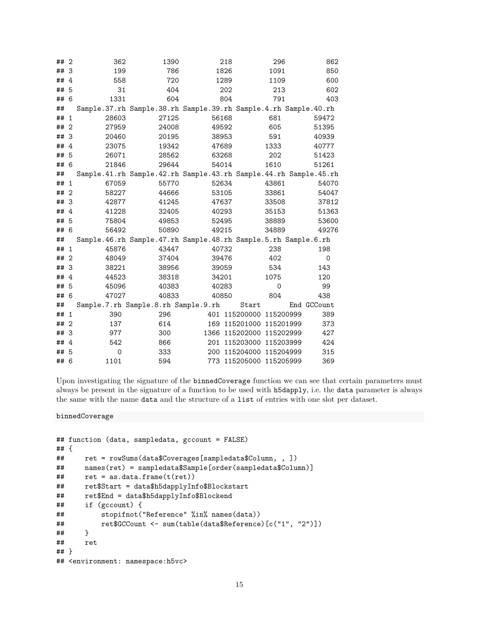| ##2    |                | 362      | 1390                                                             | 218   |                          | 296      | 862         |
|--------|----------------|----------|------------------------------------------------------------------|-------|--------------------------|----------|-------------|
| ## 3   |                | 199      | 786                                                              | 1826  |                          | 1091     | 850         |
| ## $4$ |                | 558      | 720                                                              | 1289  |                          | 1109     | 600         |
| ## 5   |                | 31       | 404                                                              | 202   |                          | 213      | 602         |
| ## 6   |                | 1331     | 604                                                              | 804   |                          | 791      | 403         |
| ##     |                |          | Sample.37.rh Sample.38.rh Sample.39.rh Sample.4.rh Sample.40.rh  |       |                          |          |             |
| ## 1   |                | 28603    | 27125                                                            | 56168 |                          | 681      | 59472       |
| ## 2   |                | 27959    | 24008                                                            | 49592 |                          | 605      | 51395       |
| ## 3   |                | 20460    | 20195                                                            | 38953 |                          | 591      | 40939       |
| ## $4$ |                | 23075    | 19342                                                            | 47689 |                          | 1333     | 40777       |
| ## 5   |                | 26071    | 28562                                                            | 63268 |                          | 202      | 51423       |
| ## 6   |                | 21846    | 29644                                                            | 54014 |                          | 1610     | 51261       |
| ##     |                |          | Sample.41.rh Sample.42.rh Sample.43.rh Sample.44.rh Sample.45.rh |       |                          |          |             |
| ## 1   |                | 67059    | 55770                                                            | 52634 |                          | 43861    | 54070       |
| ## 2   |                | 58227    | 44666                                                            | 53105 |                          | 33861    | 54047       |
| ## 3   |                | 42877    | 41245                                                            | 47637 |                          | 33508    | 37812       |
| ## $4$ |                | 41228    | 32405                                                            | 40293 |                          | 35153    | 51363       |
| ## 5   |                | 75804    | 49853                                                            | 52495 |                          | 38889    | 53600       |
| ## 6   |                | 56492    | 50890                                                            | 49215 |                          | 34889    | 49276       |
| ##     |                |          | Sample.46.rh Sample.47.rh Sample.48.rh Sample.5.rh Sample.6.rh   |       |                          |          |             |
| ## 1   |                | 45876    | 43447                                                            | 40732 |                          | 238      | 198         |
| ## 2   |                | 48049    | 37404                                                            | 39476 |                          | 402      | $\mathbf 0$ |
| ##3    |                | 38221    | 38956                                                            | 39059 |                          | 534      | 143         |
| ## $4$ |                | 44523    | 38318                                                            | 34201 |                          | 1075     | 120         |
| ##     | 5              | 45096    | 40383                                                            | 40283 |                          | $\Omega$ | 99          |
| ## 6   |                | 47027    | 40833                                                            | 40850 |                          | 804      | 438         |
| ##     |                |          | Sample.7.rh Sample.8.rh Sample.9.rh                              |       | Start                    |          | End GCCount |
| ## 1   |                | 390      | 296                                                              |       | 401 115200000 115200999  |          | 389         |
| ##     | $\overline{2}$ | 137      | 614                                                              |       | 169 115201000 115201999  |          | 373         |
| ##3    |                | 977      | 300                                                              |       | 1366 115202000 115202999 |          | 427         |
| ## 4   |                | 542      | 866                                                              |       | 201 115203000 115203999  |          | 424         |
| ##     | 5              | $\Omega$ | 333                                                              |       | 200 115204000 115204999  |          | 315         |
| ## 6   |                | 1101     | 594                                                              |       | 773 115205000 115205999  |          | 369         |

Upon investigating the signature of the binnedCoverage function we can see that certain parameters must always be present in the signature of a function to be used with h5dapply, i.e. the data parameter is always the same with the name data and the structure of a list of entries with one slot per dataset.

binnedCoverage

```
## function (data, sampledata, gccount = FALSE)
## {
## ret = rowSums(data$Coverages[sampledata$Column, , ])
## names(ret) = sampledata$Sample[order(sampledata$Column)]
## ret = as.data.frame(t(ret))
      ## ret$Start = data$h5dapplyInfo$Blockstart
## ret$End = data$h5dapplyInfo$Blockend
## if (gccount) {
## stopifnot("Reference" %in% names(data))
## ret$GCCount <- sum(table(data$Reference)[c("1", "2")])
## }
## ret
## }
## <environment: namespace:h5vc>
```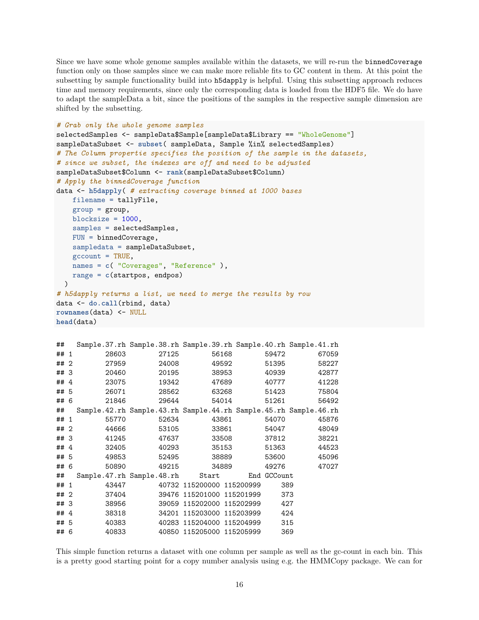Since we have some whole genome samples available within the datasets, we will re-run the binnedCoverage function only on those samples since we can make more reliable fits to GC content in them. At this point the subsetting by sample functionality build into h5dapply is helpful. Using this subsetting approach reduces time and memory requirements, since only the corresponding data is loaded from the HDF5 file. We do have to adapt the sampleData a bit, since the positions of the samples in the respective sample dimension are shifted by the subsetting.

```
# Grab only the whole genome samples
selectedSamples <- sampleData$Sample[sampleData$Library == "WholeGenome"]
sampleDataSubset <- subset( sampleData, Sample %in% selectedSamples)
# The Column propertie specifies the position of the sample in the datasets,
# since we subset, the indexes are off and need to be adjusted
sampleDataSubset$Column <- rank(sampleDataSubset$Column)
# Apply the binnedCoverage function
data <- h5dapply( # extracting coverage binned at 1000 bases
    filename = tallyFile,
    group = group,blocksize = 1000,
    samples = selectedSamples,
    FUN = binnedCoverage,
    sampledata = sampleDataSubset,
    \text{gccount} = TRUE,
    names = c( "Coverages", "Reference" ),
    range = c(startpos, endpos)
  \lambda# h5dapply returns a list, we need to merge the results by row
data <- do.call(rbind, data)
rownames(data) <- NULL
head(data)
```

```
## Sample.37.rh Sample.38.rh Sample.39.rh Sample.40.rh Sample.41.rh
## 1 28603 27125 56168 59472 67059
## 2 27959 24008 49592 51395 58227
## 3 20460 20195 38953 40939 42877
## 4 23075 19342 47689 40777 41228
## 5 26071 28562 63268 51423 75804
## 6 21846 29644 54014 51261 56492
## Sample.42.rh Sample.43.rh Sample.44.rh Sample.45.rh Sample.46.rh
## 1 55770 52634 43861 54070 45876
## 2 44666 53105 33861 54047 48049
## 3 41245 47637 33508 37812 38221
## 4 32405 40293 35153 51363 44523
## 5 49853 52495 38889 53600 45096
## 6 50890 49215 34889 49276 47027
## Sample.47.rh Sample.48.rh Start End GCCount
## 1 43447 40732 115200000 115200999 389
## 2 37404 39476 115201000 115201999 373
## 3 38956 39059 115202000 115202999 427
## 4 38318 34201 115203000 115203999 424
## 5 40383 40283 115204000 115204999 315
## 6 40833 40850 115205000 115205999 369
```
This simple function returns a dataset with one column per sample as well as the gc-count in each bin. This is a pretty good starting point for a copy number analysis using e.g. the HMMCopy package. We can for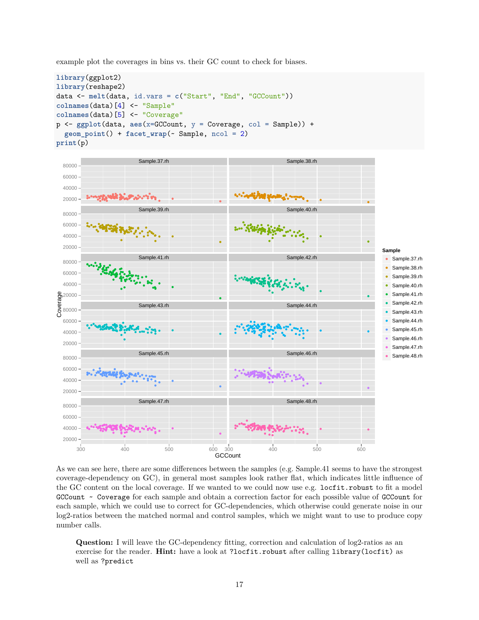example plot the coverages in bins vs. their GC count to check for biases.

```
library(ggplot2)
library(reshape2)
data <- melt(data, id.vars = c("Start", "End", "GCCount"))
colnames(data)[4] <- "Sample"
colnames(data)[5] <- "Coverage"
p <- ggplot(data, aes(x=GCCount, y = Coverage, col = Sample)) +
  geom_point() + facet_wrap(~ Sample, ncol = 2)
print(p)
```


As we can see here, there are some differences between the samples (e.g. Sample.41 seems to have the strongest coverage-dependency on GC), in general most samples look rather flat, which indicates little influence of the GC content on the local coverage. If we wanted to we could now use e.g. locfit.robust to fit a model GCCount ~ Coverage for each sample and obtain a correction factor for each possible value of GCCount for each sample, which we could use to correct for GC-dependencies, which otherwise could generate noise in our log2-ratios between the matched normal and control samples, which we might want to use to produce copy number calls.

**Question:** I will leave the GC-dependency fitting, correction and calculation of log2-ratios as an exercise for the reader. **Hint:** have a look at ?locfit.robust after calling library(locfit) as well as ?predict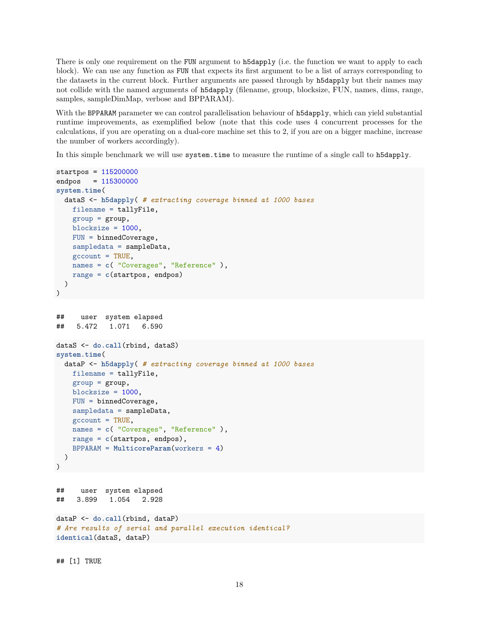There is only one requirement on the FUN argument to h5dapply (i.e. the function we want to apply to each block). We can use any function as FUN that expects its first argument to be a list of arrays corresponding to the datasets in the current block. Further arguments are passed through by h5dapply but their names may not collide with the named arguments of h5dapply (filename, group, blocksize, FUN, names, dims, range, samples, sampleDimMap, verbose and BPPARAM).

With the BPPARAM parameter we can control parallelisation behaviour of h5dapply, which can yield substantial runtime improvements, as exemplified below (note that this code uses 4 concurrent processes for the calculations, if you are operating on a dual-core machine set this to 2, if you are on a bigger machine, increase the number of workers accordingly).

In this simple benchmark we will use system.time to measure the runtime of a single call to h5dapply.

```
startpos = 115200000
endpos = 115300000
system.time(
  dataS <- h5dapply( # extracting coverage binned at 1000 bases
   filename = tallyFile,
   group = group,blocksize = 1000,
   FUN = binnedCoverage,
   sampledata = sampleData,
   \text{gccount} = TRUE,
   names = c( "Coverages", "Reference" ),
   range = c(startpos, endpos)
  )
)
## user system elapsed
## 5.472 1.071 6.590
dataS <- do.call(rbind, dataS)
system.time(
 dataP <- h5dapply( # extracting coverage binned at 1000 bases
   filename = tallyFile,
   group = group,blocksize = 1000,
   FUN = binnedCoverage,
   sampledata = sampleData,
   \text{gccount} = TRUE,
   names = c( "Coverages", "Reference" ),
   range = c(startpos, endpos),
   BPPARAM = MulticoreParam(workers = 4)
  )
)
## user system elapsed
## 3.899 1.054 2.928
dataP <- do.call(rbind, dataP)
# Are results of serial and parallel execution identical?
identical(dataS, dataP)
```
## [1] TRUE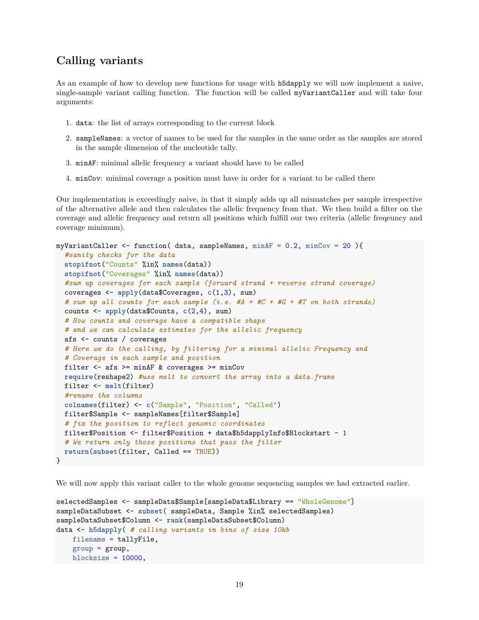## <span id="page-18-0"></span>**Calling variants**

As an example of how to develop new functions for usage with h5dapply we will now implement a naive, single-sample variant calling function. The function will be called myVariantCaller and will take four arguments:

- 1. data: the list of arrays corresponding to the current block
- 2. sampleNames: a vector of names to be used for the samples in the same order as the samples are stored in the sample dimension of the nucleotide tally.
- 3. minAF: minimal allelic frequency a variant should have to be called
- 4. minCov: minimal coverage a position must have in order for a variant to be called there

Our implementation is exceedingly naive, in that it simply adds up all mismatches per sample irrespective of the alternative allele and then calculates the allelic frequency from that. We then build a filter on the coverage and allelic frequency and return all positions which fulfill our two criteria (allelic freqeuncy and coverage minimum).

```
myVariantCaller \le function( data, sampleNames, minAF = 0.2, minCov = 20){
  #sanity checks for the data
  stopifnot("Counts" %in% names(data))
  stopifnot("Coverages" %in% names(data))
  #sum up coverages for each sample (forward strand + reverse strand coverage)
  coverages <- apply(data$Coverages, c(1,3), sum)
  # sum up all counts for each sample (i.e. #A + #C + #G + #T on both strands)
  counts <- apply(data$Counts, c(2,4), sum)
  # Now counts and coverage have a compatible shape
  # and we can calculate estimates for the allelic frequency
  afs <- counts / coverages
  # Here we do the calling, by filtering for a minimal allelic Frequency and
  # Coverage in each sample and position
  filter \leq afs \geq minAF & coverages \geq minCov
  require(reshape2) #use melt to convert the array into a data.frame
  filter <- melt(filter)
  #rename the columns
  colnames(filter) <- c("Sample", "Position", "Called")
  filter$Sample <- sampleNames[filter$Sample]
  # fix the position to reflect genomic coordinates
  filter$Position <- filter$Position + data$h5dapplyInfo$Blockstart - 1
  # We return only those positions that pass the filter
  return(subset(filter, Called == TRUE))
}
```
We will now apply this variant caller to the whole genome sequencing samples we had extracted earlier.

```
selectedSamples <- sampleData$Sample[sampleData$Library == "WholeGenome"]
sampleDataSubset <- subset( sampleData, Sample %in% selectedSamples)
sampleDataSubset$Column <- rank(sampleDataSubset$Column)
data <- h5dapply( # calling variants in bins of size 10kb
   filename = tallyFile,
   group = group,blocksize = 10000,
```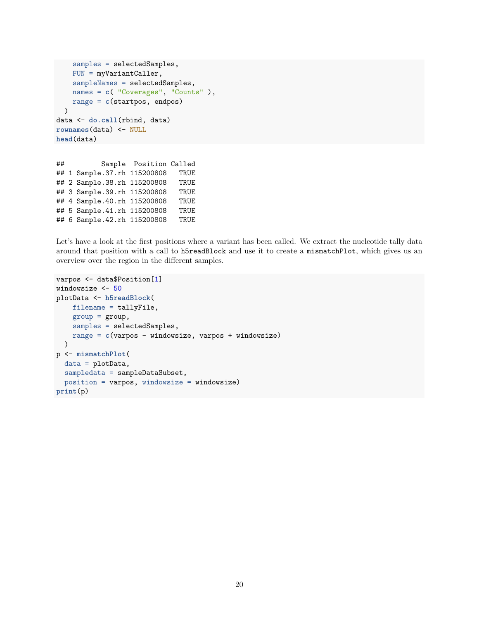```
samples = selectedSamples,
    FUN = myVariantCaller,
    sampleNames = selectedSamples,
    names = c( "Coverages", "Counts" ),
    range = c(startpos, endpos)
  \lambdadata <- do.call(rbind, data)
rownames(data) <- NULL
head(data)
```
## Sample Position Called ## 1 Sample.37.rh 115200808 TRUE ## 2 Sample.38.rh 115200808 TRUE ## 3 Sample.39.rh 115200808 TRUE ## 4 Sample.40.rh 115200808 TRUE ## 5 Sample.41.rh 115200808 TRUE ## 6 Sample.42.rh 115200808 TRUE

Let's have a look at the first positions where a variant has been called. We extract the nucleotide tally data around that position with a call to h5readBlock and use it to create a mismatchPlot, which gives us an overview over the region in the different samples.

```
varpos <- data$Position[1]
windowsize <- 50
plotData <- h5readBlock(
    filename = tallyFile,
    group = group,samples = selectedSamples,
    range = c(varpos - windowsize, varpos + windowsize)
  \lambdap <- mismatchPlot(
  data = plotData,
  sampledata = sampleDataSubset,
  position = varpos, windowsize = windowsize)
print(p)
```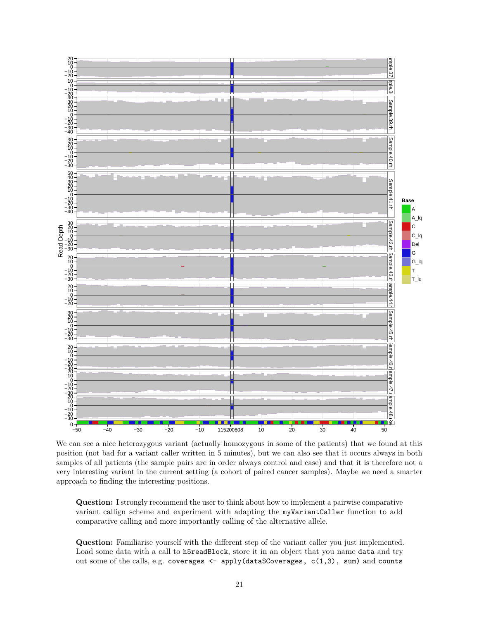

We can see a nice heterozygous variant (actually homozygous in some of the patients) that we found at this position (not bad for a variant caller written in 5 minutes), but we can also see that it occurs always in both samples of all patients (the sample pairs are in order always control and case) and that it is therefore not a very interesting variant in the current setting (a cohort of paired cancer samples). Maybe we need a smarter approach to finding the interesting positions.

**Question:** I strongly recommend the user to think about how to implement a pairwise comparative variant callign scheme and experiment with adapting the myVariantCaller function to add comparative calling and more importantly calling of the alternative allele.

**Question:** Familiarise yourself with the different step of the variant caller you just implemented. Load some data with a call to h5readBlock, store it in an object that you name data and try out some of the calls, e.g. coverages <- apply(data\$Coverages, c(1,3), sum) and counts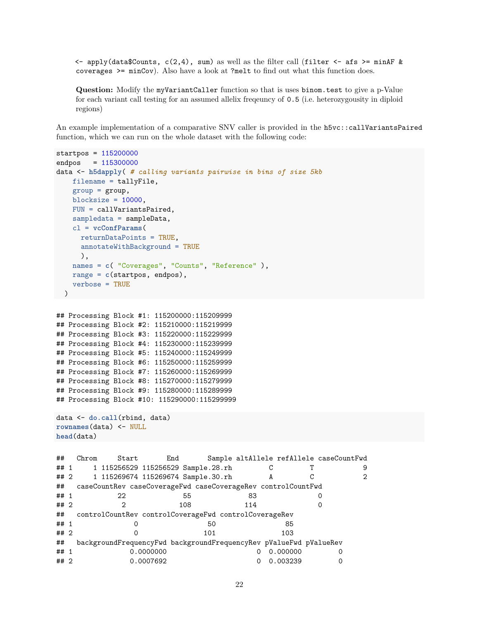$\leq$  apply(data\$Counts, c(2,4), sum) as well as the filter call (filter  $\leq$  afs  $\geq$  minAF & coverages >= minCov). Also have a look at ?melt to find out what this function does.

**Question:** Modify the myVariantCaller function so that is uses binom.test to give a p-Value for each variant call testing for an assumed allelix freqeuncy of 0.5 (i.e. heterozygousity in diploid regions)

An example implementation of a comparative SNV caller is provided in the h5vc::callVariantsPaired function, which we can run on the whole dataset with the following code:

```
startpos = 115200000
endpos = 115300000
data <- h5dapply( # calling variants pairwise in bins of size 5kb
   filename = tallyFile,
   group = group,blocksize = 10000,
   FUN = callVariantsPaired,
   sampledata = sampleData,
   cl = vcConfParams(
    returnDataPoints = TRUE,
    annotateWithBackground = TRUE
    ),
   names = c( "Coverages", "Counts", "Reference" ),
   range = c(startpos, endpos),
   verbose = TRUE
 )
## Processing Block #1: 115200000:115209999
## Processing Block #2: 115210000:115219999
## Processing Block #3: 115220000:115229999
## Processing Block #4: 115230000:115239999
## Processing Block #5: 115240000:115249999
## Processing Block #6: 115250000:115259999
## Processing Block #7: 115260000:115269999
## Processing Block #8: 115270000:115279999
## Processing Block #9: 115280000:115289999
## Processing Block #10: 115290000:115299999
data <- do.call(rbind, data)
rownames(data) <- NULL
head(data)
## Chrom Start End Sample altAllele refAllele caseCountFwd
## 1 1 115256529 115256529 Sample.28.rh C T 9
## 2 1 115269674 115269674 Sample.30.rh A C 2
## caseCountRev caseCoverageFwd caseCoverageRev controlCountFwd
## 1 22 55 83 0
## 2 2 108 114 0
## controlCountRev controlCoverageFwd controlCoverageRev
## 1 0 50 85
## 2 0 101 103
## backgroundFrequencyFwd backgroundFrequencyRev pValueFwd pValueRev
## 1 0.0000000 0 0.000000 0
## 2 0.0007692 0 0.003239 0
```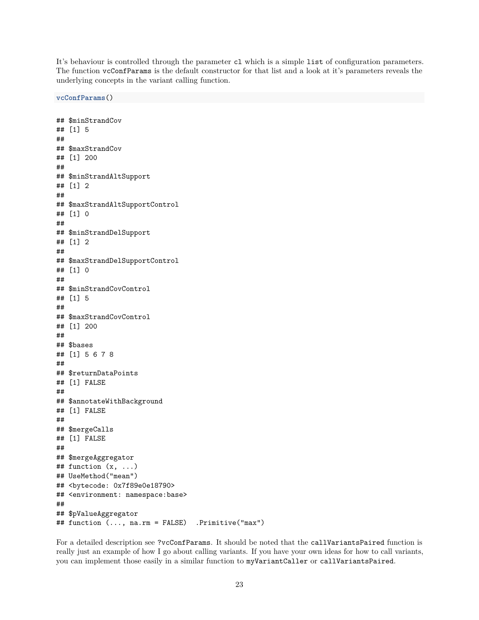It's behaviour is controlled through the parameter cl which is a simple list of configuration parameters. The function vcConfParams is the default constructor for that list and a look at it's parameters reveals the underlying concepts in the variant calling function.

## \$minStrandCov ## [1] 5 ## ## \$maxStrandCov ## [1] 200 ## ## \$minStrandAltSupport ## [1] 2 ## ## \$maxStrandAltSupportControl ## [1] 0 ## ## \$minStrandDelSupport ## [1] 2 ## ## \$maxStrandDelSupportControl ## [1] 0 ## ## \$minStrandCovControl ## [1] 5 ## ## \$maxStrandCovControl ## [1] 200 ## ## \$bases ## [1] 5 6 7 8 ## ## \$returnDataPoints ## [1] FALSE ## ## \$annotateWithBackground ## [1] FALSE ## ## \$mergeCalls ## [1] FALSE ## ## \$mergeAggregator  $\#$  function  $(x, \ldots)$ ## UseMethod("mean") ## <bytecode: 0x7f89e0e18790> ## <environment: namespace:base> ## ## \$pValueAggregator ## function (..., na.rm = FALSE) .Primitive("max")

**vcConfParams**()

For a detailed description see ?vcConfParams. It should be noted that the callVariantsPaired function is really just an example of how I go about calling variants. If you have your own ideas for how to call variants, you can implement those easily in a similar function to myVariantCaller or callVariantsPaired.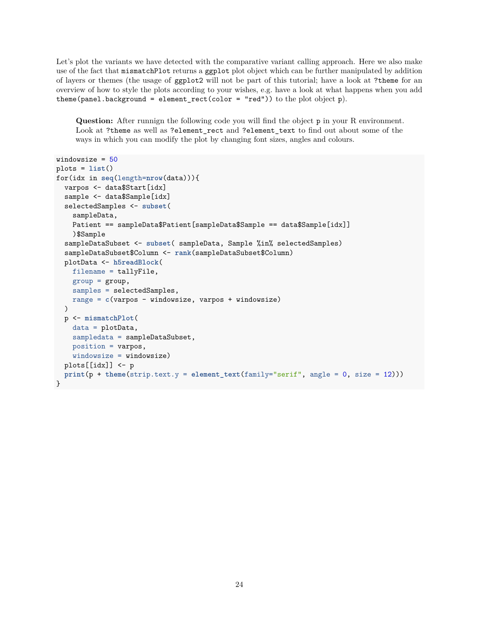Let's plot the variants we have detected with the comparative variant calling approach. Here we also make use of the fact that mismatchPlot returns a ggplot plot object which can be further manipulated by addition of layers or themes (the usage of ggplot2 will not be part of this tutorial; have a look at ?theme for an overview of how to style the plots according to your wishes, e.g. have a look at what happens when you add theme(panel.background = element\_rect(color = "red")) to the plot object p).

**Question:** After runnign the following code you will find the object p in your R environment. Look at ?theme as well as ?element rect and ?element text to find out about some of the ways in which you can modify the plot by changing font sizes, angles and colours.

```
windowsize = 50
plots = list()
for(idx in seq(length=nrow(data))){
  varpos <- data$Start[idx]
  sample <- data$Sample[idx]
  selectedSamples <- subset(
   sampleData,
   Patient == sampleData$Patient[sampleData$Sample == data$Sample[idx]]
   )$Sample
  sampleDataSubset <- subset( sampleData, Sample %in% selectedSamples)
  sampleDataSubset$Column <- rank(sampleDataSubset$Column)
  plotData <- h5readBlock(
   filename = tallyFile,
   group = group,samples = selectedSamples,
   range = c(varpos - windowsize, varpos + windowsize)
  \lambdap <- mismatchPlot(
   data = plotData,
   sampledata = sampleDataSubset,
   position = varpos,
   windowsize = windowsize)
  plots[[idx]] <- p
 print(p + theme(strip.text.y = element_text(family="serif", angle = 0, size = 12)))
}
```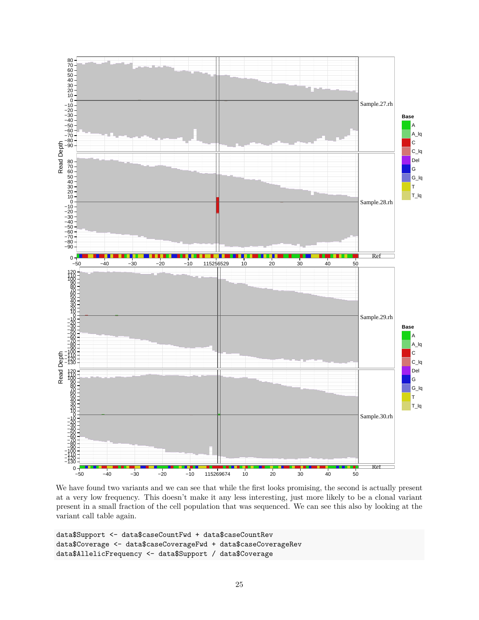

We have found two variants and we can see that while the first looks promising, the second is actually present at a very low frequency. This doesn't make it any less interesting, just more likely to be a clonal variant present in a small fraction of the cell population that was sequenced. We can see this also by looking at the variant call table again.

```
data$Support <- data$caseCountFwd + data$caseCountRev
data$Coverage <- data$caseCoverageFwd + data$caseCoverageRev
data$AllelicFrequency <- data$Support / data$Coverage
```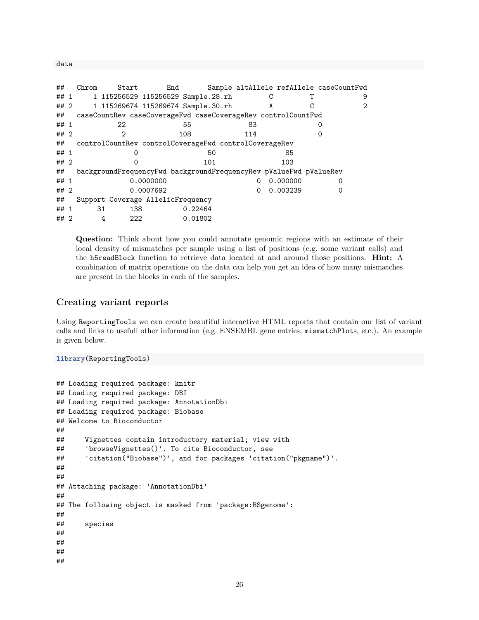data

| ##   | Chrom | Start                                                             |           | End |         |          |   |          |   | Sample altAllele refAllele caseCountFwd |
|------|-------|-------------------------------------------------------------------|-----------|-----|---------|----------|---|----------|---|-----------------------------------------|
| ## 1 |       | 1 115256529 115256529 Sample.28.rh                                |           |     |         |          |   |          |   | 9                                       |
| ## 2 |       | 1 115269674 115269674 Sample.30.rh                                |           |     |         |          | A |          | С | 2                                       |
| ##   |       | caseCountRev caseCoverageFwd caseCoverageRev controlCountFwd      |           |     |         |          |   |          |   |                                         |
| ## 1 |       | 22                                                                |           | 55  |         | 83       |   |          |   |                                         |
| ##2  |       | $\mathcal{D}_{1}$                                                 |           | 108 |         | 114      |   |          |   |                                         |
| ##   |       | controlCountRev controlCoverageFwd controlCoverageRev             |           |     |         |          |   |          |   |                                         |
| ## 1 |       |                                                                   |           |     | 50      |          |   | 85       |   |                                         |
| ##2  |       |                                                                   |           |     | 101     |          |   | 103      |   |                                         |
| ##   |       | backgroundFrequencyFwd backgroundFrequencyRev pValueFwd pValueRev |           |     |         |          |   |          |   |                                         |
| ## 1 |       |                                                                   | 0.0000000 |     |         | $\Omega$ |   | 0.000000 |   | 0                                       |
| ##2  |       |                                                                   | 0.0007692 |     |         | $\Omega$ |   | 0.003239 |   | 0                                       |
| ##   |       | Support Coverage AllelicFrequency                                 |           |     |         |          |   |          |   |                                         |
| ## 1 |       | 31<br>138                                                         |           |     | 0.22464 |          |   |          |   |                                         |
| ## 2 |       | 222<br>4                                                          |           |     | 0.01802 |          |   |          |   |                                         |

**Question:** Think about how you could annotate genomic regions with an estimate of their local density of mismatches per sample using a list of positions (e.g. some variant calls) and the h5readBlock function to retrieve data located at and around those positions. **Hint:** A combination of matrix operations on the data can help you get an idea of how many mismatches are present in the blocks in each of the samples.

#### <span id="page-25-0"></span>**Creating variant reports**

Using ReportingTools we can create beautiful interactive HTML reports that contain our list of variant calls and links to usefull other information (e.g. ENSEMBL gene entries, mismatchPlots, etc.). An example is given below.

```
library(ReportingTools)
```

```
## Loading required package: knitr
## Loading required package: DBI
## Loading required package: AnnotationDbi
## Loading required package: Biobase
## Welcome to Bioconductor
##
## Vignettes contain introductory material; view with
## 'browseVignettes()'. To cite Bioconductor, see
## 'citation("Biobase")', and for packages 'citation("pkgname")'.
##
##
## Attaching package: 'AnnotationDbi'
##
## The following object is masked from 'package:BSgenome':
##
## species
##
##
##
##
```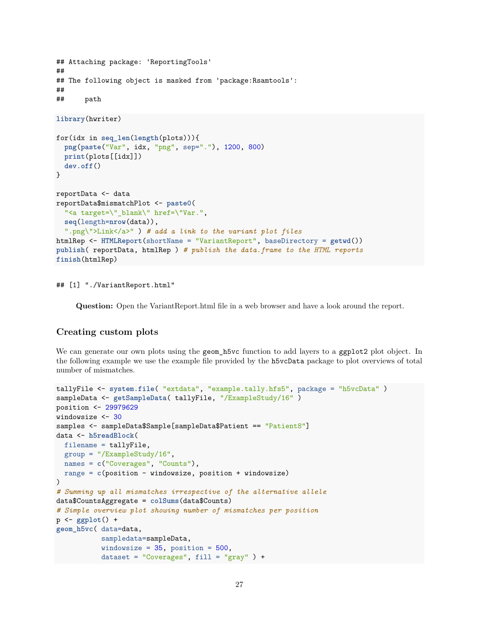```
## Attaching package: 'ReportingTools'
##
## The following object is masked from 'package:Rsamtools':
##
## path
library(hwriter)
for(idx in seq_len(length(plots))){
  png(paste("Var", idx, "png", sep="."), 1200, 800)
  print(plots[[idx]])
  dev.off()
}
reportData <- data
reportData$mismatchPlot <- paste0(
  "<a target=\" blank\" href=\"Var.",
  seq(length=nrow(data)),
  ".png\">Link</a>" ) # add a link to the variant plot files
htmlRep <- HTMLReport(shortName = "VariantReport", baseDirectory = getwd())
publish( reportData, htmlRep ) # publish the data.frame to the HTML reports
finish(htmlRep)
```
## [1] "./VariantReport.html"

**Question:** Open the VariantReport.html file in a web browser and have a look around the report.

#### <span id="page-26-0"></span>**Creating custom plots**

We can generate our own plots using the geom\_h5vc function to add layers to a ggplot2 plot object. In the following example we use the example file provided by the h5vcData package to plot overviews of total number of mismatches.

```
tallyFile <- system.file( "extdata", "example.tally.hfs5", package = "h5vcData" )
sampleData <- getSampleData( tallyFile, "/ExampleStudy/16" )
position <- 29979629
windowsize <- 30
samples <- sampleData$Sample[sampleData$Patient == "Patient8"]
data <- h5readBlock(
 filename = tallyFile,
  group = "/ExampleStudy/16",
 names = c("Coverages", "Counts"),
 range = c(position - windowsize, position + windowsize)
)
# Summing up all mismatches irrespective of the alternative allele
data$CountsAggregate = colSums(data$Counts)
# Simple overview plot showing number of mismatches per position
p <- ggplot() +
geom_h5vc( data=data,
           sampledata=sampleData,
           windowsize = 35, position = 500,
           dataset = "Coverages", fill = "gray" ) +
```